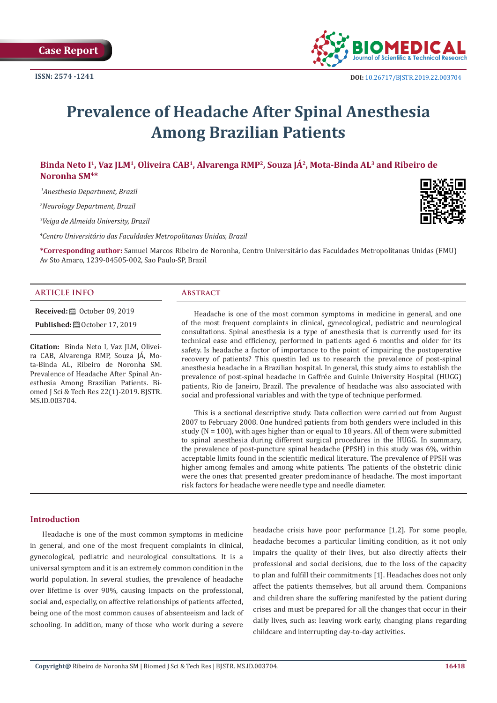

# **Prevalence of Headache After Spinal Anesthesia Among Brazilian Patients**

# **Binda Neto I1, Vaz JLM1, Oliveira CAB1, Alvarenga RMP2, Souza JÁ2, Mota-Binda AL3 and Ribeiro de Noronha SM4\***

 *1Anesthesia Department, Brazil*

*2 Neurology Department, Brazil*

*3 Veiga de Almeida University, Brazil*

*4 Centro Universitário das Faculdades Metropolitanas Unidas, Brazil*

**\*Corresponding author:** Samuel Marcos Ribeiro de Noronha, Centro Universitário das Faculdades Metropolitanas Unidas (FMU) Av Sto Amaro, 1239-04505-002, Sao Paulo-SP, Brazil

# **ARTICLE INFO Abstract**

**Received:** ■ October 09, 2019

**Published:** ■ October 17, 2019

**Citation:** Binda Neto I, Vaz JLM, Oliveira CAB, Alvarenga RMP, Souza JÁ, Mota-Binda AL, Ribeiro de Noronha SM. Prevalence of Headache After Spinal Anesthesia Among Brazilian Patients. Biomed J Sci & Tech Res 22(1)-2019. BJSTR. MS.ID.003704.

Headache is one of the most common symptoms in medicine in general, and one of the most frequent complaints in clinical, gynecological, pediatric and neurological consultations. Spinal anesthesia is a type of anesthesia that is currently used for its technical ease and efficiency, performed in patients aged 6 months and older for its safety. Is headache a factor of importance to the point of impairing the postoperative recovery of patients? This questin led us to research the prevalence of post-spinal anesthesia headache in a Brazilian hospital. In general, this study aims to establish the prevalence of post-spinal headache in Gaffrée and Guinle University Hospital (HUGG) patients, Rio de Janeiro, Brazil. The prevalence of headache was also associated with social and professional variables and with the type of technique performed.

This is a sectional descriptive study. Data collection were carried out from August 2007 to February 2008. One hundred patients from both genders were included in this study ( $N = 100$ ), with ages higher than or equal to 18 years. All of them were submitted to spinal anesthesia during different surgical procedures in the HUGG. In summary, the prevalence of post-puncture spinal headache (PPSH) in this study was 6%, within acceptable limits found in the scientific medical literature. The prevalence of PPSH was higher among females and among white patients. The patients of the obstetric clinic were the ones that presented greater predominance of headache. The most important risk factors for headache were needle type and needle diameter.

### **Introduction**

Headache is one of the most common symptoms in medicine in general, and one of the most frequent complaints in clinical, gynecological, pediatric and neurological consultations. It is a universal symptom and it is an extremely common condition in the world population. In several studies, the prevalence of headache over lifetime is over 90%, causing impacts on the professional, social and, especially, on affective relationships of patients affected, being one of the most common causes of absenteeism and lack of schooling. In addition, many of those who work during a severe

headache crisis have poor performance [1,2]. For some people, headache becomes a particular limiting condition, as it not only impairs the quality of their lives, but also directly affects their professional and social decisions, due to the loss of the capacity to plan and fulfill their commitments [1]. Headaches does not only affect the patients themselves, but all around them. Companions and children share the suffering manifested by the patient during crises and must be prepared for all the changes that occur in their daily lives, such as: leaving work early, changing plans regarding childcare and interrupting day-to-day activities.

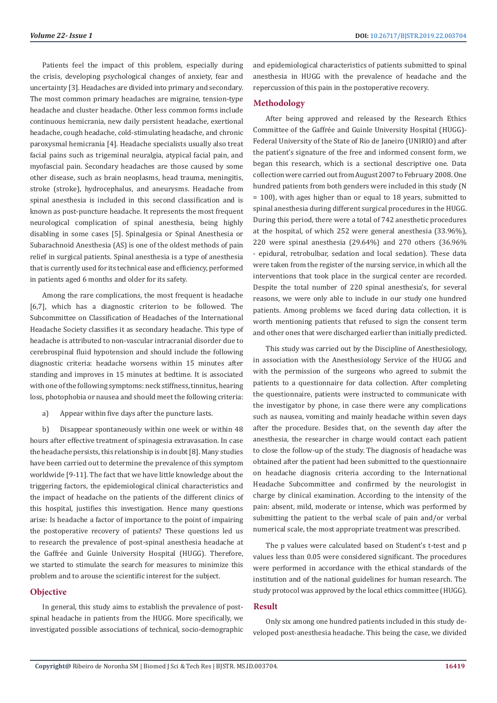Patients feel the impact of this problem, especially during the crisis, developing psychological changes of anxiety, fear and uncertainty [3]. Headaches are divided into primary and secondary. The most common primary headaches are migraine, tension-type headache and cluster headache. Other less common forms include continuous hemicrania, new daily persistent headache, exertional headache, cough headache, cold-stimulating headache, and chronic paroxysmal hemicrania [4]. Headache specialists usually also treat facial pains such as trigeminal neuralgia, atypical facial pain, and myofascial pain. Secondary headaches are those caused by some other disease, such as brain neoplasms, head trauma, meningitis, stroke (stroke), hydrocephalus, and aneurysms. Headache from spinal anesthesia is included in this second classification and is known as post-puncture headache. It represents the most frequent neurological complication of spinal anesthesia, being highly disabling in some cases [5]. Spinalgesia or Spinal Anesthesia or Subarachnoid Anesthesia (AS) is one of the oldest methods of pain relief in surgical patients. Spinal anesthesia is a type of anesthesia that is currently used for its technical ease and efficiency, performed in patients aged 6 months and older for its safety.

Among the rare complications, the most frequent is headache [6,7], which has a diagnostic criterion to be followed. The Subcommittee on Classification of Headaches of the International Headache Society classifies it as secondary headache. This type of headache is attributed to non-vascular intracranial disorder due to cerebrospinal fluid hypotension and should include the following diagnostic criteria: headache worsens within 15 minutes after standing and improves in 15 minutes at bedtime. It is associated with one of the following symptoms: neck stiffness, tinnitus, hearing loss, photophobia or nausea and should meet the following criteria:

a) Appear within five days after the puncture lasts.

b) Disappear spontaneously within one week or within 48 hours after effective treatment of spinagesia extravasation. In case the headache persists, this relationship is in doubt [8]. Many studies have been carried out to determine the prevalence of this symptom worldwide [9-11]. The fact that we have little knowledge about the triggering factors, the epidemiological clinical characteristics and the impact of headache on the patients of the different clinics of this hospital, justifies this investigation. Hence many questions arise: Is headache a factor of importance to the point of impairing the postoperative recovery of patients? These questions led us to research the prevalence of post-spinal anesthesia headache at the Gaffrée and Guinle University Hospital (HUGG). Therefore, we started to stimulate the search for measures to minimize this problem and to arouse the scientific interest for the subject.

# **Objective**

In general, this study aims to establish the prevalence of postspinal headache in patients from the HUGG. More specifically, we investigated possible associations of technical, socio-demographic and epidemiological characteristics of patients submitted to spinal anesthesia in HUGG with the prevalence of headache and the repercussion of this pain in the postoperative recovery.

### **Methodology**

After being approved and released by the Research Ethics Committee of the Gaffrée and Guinle University Hospital (HUGG)- Federal University of the State of Rio de Janeiro (UNIRIO) and after the patient's signature of the free and informed consent form, we began this research, which is a sectional descriptive one. Data collection were carried out from August 2007 to February 2008. One hundred patients from both genders were included in this study (N = 100), with ages higher than or equal to 18 years, submitted to spinal anesthesia during different surgical procedures in the HUGG. During this period, there were a total of 742 anesthetic procedures at the hospital, of which 252 were general anesthesia (33.96%), 220 were spinal anesthesia (29.64%) and 270 others (36.96% - epidural, retrobulbar, sedation and local sedation). These data were taken from the register of the nursing service, in which all the interventions that took place in the surgical center are recorded. Despite the total number of 220 spinal anesthesia's, for several reasons, we were only able to include in our study one hundred patients. Among problems we faced during data collection, it is worth mentioning patients that refused to sign the consent term and other ones that were discharged earlier than initially predicted.

This study was carried out by the Discipline of Anesthesiology, in association with the Anesthesiology Service of the HUGG and with the permission of the surgeons who agreed to submit the patients to a questionnaire for data collection. After completing the questionnaire, patients were instructed to communicate with the investigator by phone, in case there were any complications such as nausea, vomiting and mainly headache within seven days after the procedure. Besides that, on the seventh day after the anesthesia, the researcher in charge would contact each patient to close the follow-up of the study. The diagnosis of headache was obtained after the patient had been submitted to the questionnaire on headache diagnosis criteria according to the International Headache Subcommittee and confirmed by the neurologist in charge by clinical examination. According to the intensity of the pain: absent, mild, moderate or intense, which was performed by submitting the patient to the verbal scale of pain and/or verbal numerical scale, the most appropriate treatment was prescribed.

The p values were calculated based on Student's t-test and p values less than 0.05 were considered significant. The procedures were performed in accordance with the ethical standards of the institution and of the national guidelines for human research. The study protocol was approved by the local ethics committee (HUGG).

# **Result**

Only six among one hundred patients included in this study developed post-anesthesia headache. This being the case, we divided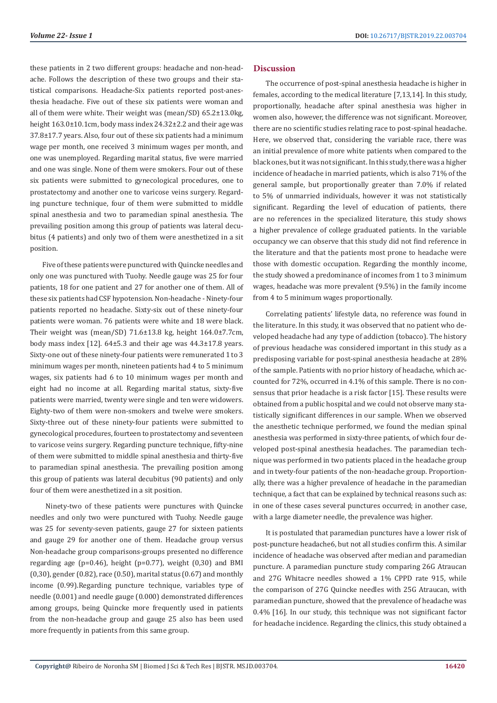these patients in 2 two different groups: headache and non-headache. Follows the description of these two groups and their statistical comparisons. Headache-Six patients reported post-anesthesia headache. Five out of these six patients were woman and all of them were white. Their weight was (mean/SD) 65.2±13.0kg, height 163.0±10.1cm, body mass index 24.32±2.2 and their age was 37.8±17.7 years. Also, four out of these six patients had a minimum wage per month, one received 3 minimum wages per month, and one was unemployed. Regarding marital status, five were married and one was single. None of them were smokers. Four out of these six patients were submitted to gynecological procedures, one to prostatectomy and another one to varicose veins surgery. Regarding puncture technique, four of them were submitted to middle spinal anesthesia and two to paramedian spinal anesthesia. The prevailing position among this group of patients was lateral decubitus (4 patients) and only two of them were anesthetized in a sit position.

Five of these patients were punctured with Quincke needles and only one was punctured with Tuohy. Needle gauge was 25 for four patients, 18 for one patient and 27 for another one of them. All of these six patients had CSF hypotension. Non-headache - Ninety-four patients reported no headache. Sixty-six out of these ninety-four patients were woman. 76 patients were white and 18 were black. Their weight was (mean/SD) 71.6±13.8 kg, height 164.0±7.7cm, body mass index [12]. 64±5.3 and their age was 44.3±17.8 years. Sixty-one out of these ninety-four patients were remunerated 1 to 3 minimum wages per month, nineteen patients had 4 to 5 minimum wages, six patients had 6 to 10 minimum wages per month and eight had no income at all. Regarding marital status, sixty-five patients were married, twenty were single and ten were widowers. Eighty-two of them were non-smokers and twelve were smokers. Sixty-three out of these ninety-four patients were submitted to gynecological procedures, fourteen to prostatectomy and seventeen to varicose veins surgery. Regarding puncture technique, fifty-nine of them were submitted to middle spinal anesthesia and thirty-five to paramedian spinal anesthesia. The prevailing position among this group of patients was lateral decubitus (90 patients) and only four of them were anesthetized in a sit position.

 Ninety-two of these patients were punctures with Quincke needles and only two were punctured with Tuohy. Needle gauge was 25 for seventy-seven patients, gauge 27 for sixteen patients and gauge 29 for another one of them. Headache group versus Non-headache group comparisons-groups presented no difference regarding age ( $p=0.46$ ), height ( $p=0.77$ ), weight ( $0.30$ ) and BMI (0,30), gender (0.82), race (0.50), marital status (0.67) and monthly income (0.99).Regarding puncture technique, variables type of needle (0.001) and needle gauge (0.000) demonstrated differences among groups, being Quincke more frequently used in patients from the non-headache group and gauge 25 also has been used more frequently in patients from this same group.

# **Discussion**

The occurrence of post-spinal anesthesia headache is higher in females, according to the medical literature [7,13,14]. In this study, proportionally, headache after spinal anesthesia was higher in women also, however, the difference was not significant. Moreover, there are no scientific studies relating race to post-spinal headache. Here, we observed that, considering the variable race, there was an initial prevalence of more white patients when compared to the black ones, but it was not significant. In this study, there was a higher incidence of headache in married patients, which is also 71% of the general sample, but proportionally greater than 7.0% if related to 5% of unmarried individuals, however it was not statistically significant. Regarding the level of education of patients, there are no references in the specialized literature, this study shows a higher prevalence of college graduated patients. In the variable occupancy we can observe that this study did not find reference in the literature and that the patients most prone to headache were those with domestic occupation. Regarding the monthly income, the study showed a predominance of incomes from 1 to 3 minimum wages, headache was more prevalent (9.5%) in the family income from 4 to 5 minimum wages proportionally.

Correlating patients' lifestyle data, no reference was found in the literature. In this study, it was observed that no patient who developed headache had any type of addiction (tobacco). The history of previous headache was considered important in this study as a predisposing variable for post-spinal anesthesia headache at 28% of the sample. Patients with no prior history of headache, which accounted for 72%, occurred in 4.1% of this sample. There is no consensus that prior headache is a risk factor [15]. These results were obtained from a public hospital and we could not observe many statistically significant differences in our sample. When we observed the anesthetic technique performed, we found the median spinal anesthesia was performed in sixty-three patients, of which four developed post-spinal anesthesia headaches. The paramedian technique was performed in two patients placed in the headache group and in twety-four patients of the non-headache group. Proportionally, there was a higher prevalence of headache in the paramedian technique, a fact that can be explained by technical reasons such as: in one of these cases several punctures occurred; in another case, with a large diameter needle, the prevalence was higher.

It is postulated that paramedian punctures have a lower risk of post-puncture headache6, but not all studies confirm this. A similar incidence of headache was observed after median and paramedian puncture. A paramedian puncture study comparing 26G Atraucan and 27G Whitacre needles showed a 1% CPPD rate 915, while the comparison of 27G Quincke needles with 25G Atraucan, with paramedian puncture, showed that the prevalence of headache was 0.4% [16]. In our study, this technique was not significant factor for headache incidence. Regarding the clinics, this study obtained a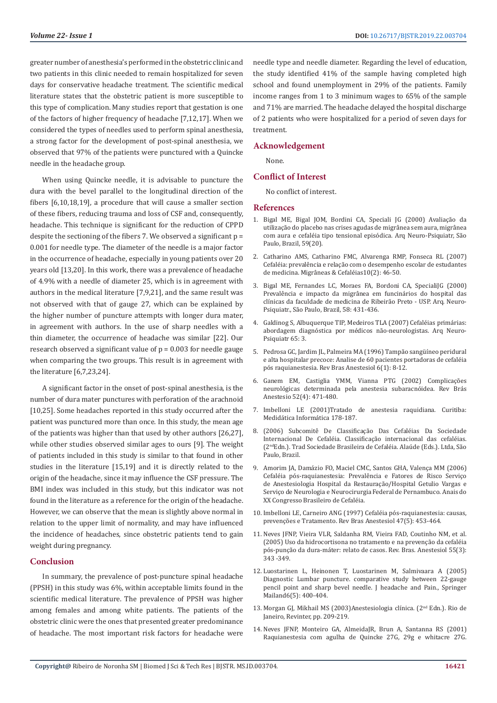greater number of anesthesia's performed in the obstetric clinic and two patients in this clinic needed to remain hospitalized for seven days for conservative headache treatment. The scientific medical literature states that the obstetric patient is more susceptible to this type of complication. Many studies report that gestation is one of the factors of higher frequency of headache [7,12,17]. When we considered the types of needles used to perform spinal anesthesia, a strong factor for the development of post-spinal anesthesia, we observed that 97% of the patients were punctured with a Quincke needle in the headache group.

When using Quincke needle, it is advisable to puncture the dura with the bevel parallel to the longitudinal direction of the fibers [6,10,18,19], a procedure that will cause a smaller section of these fibers, reducing trauma and loss of CSF and, consequently, headache. This technique is significant for the reduction of CPPD despite the sectioning of the fibers 7. We observed a significant  $p =$ 0.001 for needle type. The diameter of the needle is a major factor in the occurrence of headache, especially in young patients over 20 years old [13,20]. In this work, there was a prevalence of headache of 4.9% with a needle of diameter 25, which is in agreement with authors in the medical literature [7,9,21], and the same result was not observed with that of gauge 27, which can be explained by the higher number of puncture attempts with longer dura mater, in agreement with authors. In the use of sharp needles with a thin diameter, the occurrence of headache was similar [22]. Our research observed a significant value of  $p = 0.003$  for needle gauge when comparing the two groups. This result is in agreement with the literature [6,7,23,24].

A significant factor in the onset of post-spinal anesthesia, is the number of dura mater punctures with perforation of the arachnoid [10,25]. Some headaches reported in this study occurred after the patient was punctured more than once. In this study, the mean age of the patients was higher than that used by other authors [26,27], while other studies observed similar ages to ours [9]. The weight of patients included in this study is similar to that found in other studies in the literature [15,19] and it is directly related to the origin of the headache, since it may influence the CSF pressure. The BMI index was included in this study, but this indicator was not found in the literature as a reference for the origin of the headache. However, we can observe that the mean is slightly above normal in relation to the upper limit of normality, and may have influenced the incidence of headaches, since obstetric patients tend to gain weight during pregnancy.

# **Conclusion**

In summary, the prevalence of post-puncture spinal headache (PPSH) in this study was 6%, within acceptable limits found in the scientific medical literature. The prevalence of PPSH was higher among females and among white patients. The patients of the obstetric clinic were the ones that presented greater predominance of headache. The most important risk factors for headache were

needle type and needle diameter. Regarding the level of education, the study identified 41% of the sample having completed high school and found unemployment in 29% of the patients. Family income ranges from 1 to 3 minimum wages to 65% of the sample and 71% are married. The headache delayed the hospital discharge of 2 patients who were hospitalized for a period of seven days for treatment.

# **Acknowledgement**

None.

# **Conflict of Interest**

No conflict of interest.

# **References**

- 1. Bigal ME, Bigal JOM, Bordini CA, Speciali JG (2000) Avaliação da utilização do placebo nas crises agudas de migrânea sem aura, migrânea com aura e cefaléia tipo tensional episódica. Arq Neuro-Psiquiatr, São Paulo, Brazil, 59(20).
- 2. [Catharino AMS, Catharino FMC, Alvarenga RMP, Fonseca RL \(2007\)](https://headachemedicine.com.br/materias/M&C%202%20-%202007%20-%20Artigo%20original.pdf) [Cefaléia: prevalência e relação com o desempenho escolar de estudantes](https://headachemedicine.com.br/materias/M&C%202%20-%202007%20-%20Artigo%20original.pdf) [de medicina. Migrâneas & Cefaléias10\(2\): 46-50.](https://headachemedicine.com.br/materias/M&C%202%20-%202007%20-%20Artigo%20original.pdf)
- 3. Bigal ME, Fernandes LC, Moraes FA, Bordoni CA, SpecialiJG (2000) Prevalência e impacto da migrânea em funcinários do hospital das clínicas da faculdade de medicina de Ribeirão Preto - USP. Arq. Neuro-Psiquiatr., São Paulo, Brazil, 58: 431-436.
- 4. [Galdinog S, Albuquerque TIP, Medeiros TLA \(2007\) Cefaléias primárias:](http://www.scielo.br/scielo.php?script=sci_arttext&pid=S0004-282X2007000400026) [abordagem diagnóstica por médicos não-neurologistas. Arq Neuro-](http://www.scielo.br/scielo.php?script=sci_arttext&pid=S0004-282X2007000400026)[Psiquiatr 65: 3.](http://www.scielo.br/scielo.php?script=sci_arttext&pid=S0004-282X2007000400026)
- 5. Pedrosa GC, Jardim JL, Palmeira MA (1996) Tampão sangüíneo peridural e alta hospitalar precoce: Analise de 60 pacientes portadoras de cefaléia pós raquianestesia. Rev Bras Anestesiol 6(1): 8-12.
- 6. Ganem EM, Castiglia YMM, Vianna PTG (2002) Complicações neurológicas determinada pela anestesia subaracnóidea. Rev Brás Anestesio 52(4): 471-480.
- 7. Imbelloni LE (2001)Tratado de anestesia raquidiana. Curitiba: Medidática Informática 178-187.
- 8. (2006) Subcomitê De Classificação Das Cefaléias Da Sociedade Internacional De Cefaléia. Classificação internacional das cefaléias. (2ndEdn.). Trad Sociedade Brasileira de Cefaléia. Alaúde (Eds.). Ltda, São Paulo, Brazil.
- 9. Amorim JA, Damázio FO, Maciel CMC, Santos GHA, Valença MM (2006) Cefaléia pós-raquianestesia: Prevalência e Fatores de Risco Serviço de Anestesiologia Hospital da Restauração/Hospital Getulio Vargas e Serviço de Neurologia e Neurocirurgia Federal de Pernambuco. Anais do XX Congresso Brasileiro de Cefaléia.
- 10. Imbelloni LE, Carneiro ANG (1997) Cefaléia pós-raquianestesia: causas, prevenções e Tratamento. Rev Bras Anestesiol 47(5): 453-464.
- 11. [Neves JFNP, Vieira VLR, Saldanha RM, Vieira FAD, Coutinho NM, et al.](http://www.scielo.br/pdf/rba/v55n3/v55n3a11) [\(2005\) Uso da hidrocortisona no tratamento e na prevenção da cefaléia](http://www.scielo.br/pdf/rba/v55n3/v55n3a11) [pós-punção da dura-máter: relato de casos. Rev. Bras. Anestesiol 55\(3\):](http://www.scielo.br/pdf/rba/v55n3/v55n3a11) [343 -349.](http://www.scielo.br/pdf/rba/v55n3/v55n3a11)
- 12. [Luostarinen L, Heinonen T, Luostarinen M, Salmivaara A \(2005\)](https://www.ncbi.nlm.nih.gov/pubmed/16362713) [Diagnostic Lumbar puncture. comparative study between 22-gauge](https://www.ncbi.nlm.nih.gov/pubmed/16362713) [pencil point and sharp bevel needle. J headache and Pain., Springer](https://www.ncbi.nlm.nih.gov/pubmed/16362713) [Mailand6\(5\): 400-404.](https://www.ncbi.nlm.nih.gov/pubmed/16362713)
- 13. Morgan GJ, Mikhail MS (2003)Anestesiologia clínica. (2nd Edn.). Rio de Janeiro, Revinter, pp. 209-219.
- 14. [Neves JFNP, Monteiro GA, AlmeidaJR, Brun A, Santanna RS \(2001\)](http://www.scielo.br/pdf/rba/v51n3/v51n3a02.pdf) [Raquianestesia com agulha de Quincke 27G, 29g e whitacre 27G.](http://www.scielo.br/pdf/rba/v51n3/v51n3a02.pdf)